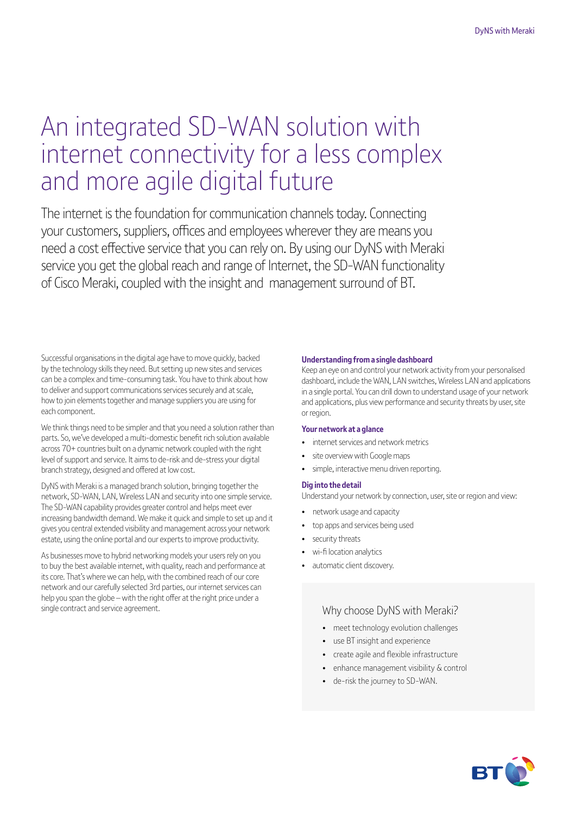# An integrated SD-WAN solution with internet connectivity for a less complex and more agile digital future

The internet is the foundation for communication channels today. Connecting your customers, suppliers, offices and employees wherever they are means you need a cost effective service that you can rely on. By using our DyNS with Meraki service you get the global reach and range of Internet, the SD-WAN functionality of Cisco Meraki, coupled with the insight and management surround of BT.

Successful organisations in the digital age have to move quickly, backed by the technology skills they need. But setting up new sites and services can be a complex and time-consuming task. You have to think about how to deliver and support communications services securely and at scale, how to join elements together and manage suppliers you are using for each component.

We think things need to be simpler and that you need a solution rather than parts. So, we've developed a multi-domestic benefit rich solution available across 70+ countries built on a dynamic network coupled with the right level of support and service. It aims to de-risk and de-stress your digital branch strategy, designed and offered at low cost.

DyNS with Meraki is a managed branch solution, bringing together the network, SD-WAN, LAN, Wireless LAN and security into one simple service. The SD-WAN capability provides greater control and helps meet ever increasing bandwidth demand. We make it quick and simple to set up and it gives you central extended visibility and management across your network estate, using the online portal and our experts to improve productivity.

As businesses move to hybrid networking models your users rely on you to buy the best available internet, with quality, reach and performance at its core. That's where we can help, with the combined reach of our core network and our carefully selected 3rd parties, our internet services can help you span the globe – with the right offer at the right price under a single contract and service agreement.

#### **Understanding from a single dashboard**

Keep an eye on and control your network activity from your personalised dashboard, include the WAN, LAN switches, Wireless LAN and applications in a single portal. You can drill down to understand usage of your network and applications, plus view performance and security threats by user, site or region.

#### **Your network at a glance**

- internet services and network metrics
- site overview with Google maps
- simple, interactive menu driven reporting.

#### **Dig into the detail**

Understand your network by connection, user, site or region and view:

- network usage and capacity
- top apps and services being used
- security threats
- wi-fi location analytics
- automatic client discovery.

#### Why choose DyNS with Meraki?

- meet technology evolution challenges
- use BT insight and experience
- create agile and flexible infrastructure
- enhance management visibility & control
- de-risk the journey to SD-WAN.